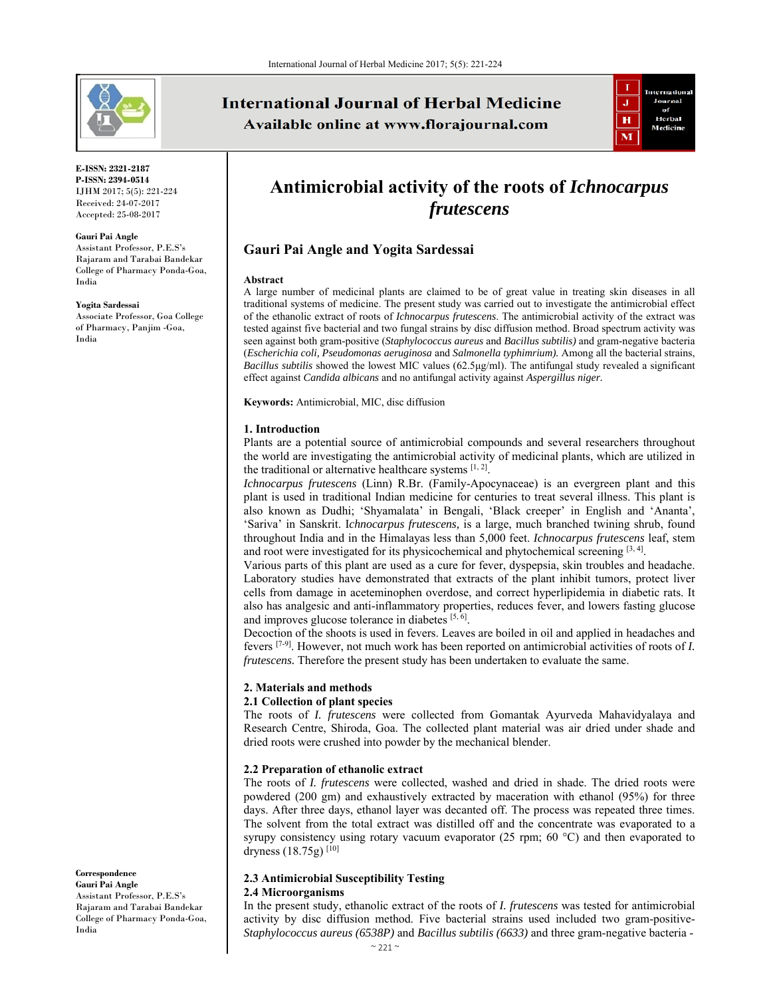

**E-ISSN: 2321-2187 P-ISSN: 2394-0514**  IJHM 2017; 5(5): 221-224 Received: 24-07-2017 Accepted: 25-08-2017

#### **Gauri Pai Angle**

Assistant Professor, P.E.S's Rajaram and Tarabai Bandekar College of Pharmacy Ponda-Goa, India

**Yogita Sardessai** 

Associate Professor, Goa College of Pharmacy, Panjim -Goa, India

# **International Journal of Herbal Medicine** Available online at www.florajournal.com



# **Antimicrobial activity of the roots of** *Ichnocarpus frutescens*

## **Gauri Pai Angle and Yogita Sardessai**

#### **Abstract**

A large number of medicinal plants are claimed to be of great value in treating skin diseases in all traditional systems of medicine. The present study was carried out to investigate the antimicrobial effect of the ethanolic extract of roots of *Ichnocarpus frutescens*. The antimicrobial activity of the extract was tested against five bacterial and two fungal strains by disc diffusion method. Broad spectrum activity was seen against both gram-positive (*Staphylococcus aureus* and *Bacillus subtilis)* and gram-negative bacteria (*Escherichia coli, Pseudomonas aeruginosa* and *Salmonella typhimrium).* Among all the bacterial strains, *Bacillus subtilis* showed the lowest MIC values (62.5μg/ml). The antifungal study revealed a significant effect against *Candida albicans* and no antifungal activity against *Aspergillus niger.*

**Keywords:** Antimicrobial, MIC, disc diffusion

#### **1. Introduction**

Plants are a potential source of antimicrobial compounds and several researchers throughout the world are investigating the antimicrobial activity of medicinal plants, which are utilized in the traditional or alternative healthcare systems  $[1, 2]$ .

*Ichnocarpus frutescens* (Linn) R.Br. (Family-Apocynaceae) is an evergreen plant and this plant is used in traditional Indian medicine for centuries to treat several illness. This plant is also known as Dudhi; 'Shyamalata' in Bengali, 'Black creeper' in English and 'Ananta', 'Sariva' in Sanskrit. I*chnocarpus frutescens,* is a large, much branched twining shrub, found throughout India and in the Himalayas less than 5,000 feet. *Ichnocarpus frutescens* leaf, stem and root were investigated for its physicochemical and phytochemical screening  $[3, 4]$ .

Various parts of this plant are used as a cure for fever, dyspepsia, skin troubles and headache. Laboratory studies have demonstrated that extracts of the plant inhibit tumors, protect liver cells from damage in aceteminophen overdose, and correct hyperlipidemia in diabetic rats. It also has analgesic and anti-inflammatory properties, reduces fever, and lowers fasting glucose and improves glucose tolerance in diabetes  $[5, 6]$ .

Decoction of the shoots is used in fevers. Leaves are boiled in oil and applied in headaches and fevers [7-9]. However, not much work has been reported on antimicrobial activities of roots of *I. frutescens.* Therefore the present study has been undertaken to evaluate the same.

### **2. Materials and methods**

#### **2.1 Collection of plant species**

The roots of *I. frutescens* were collected from Gomantak Ayurveda Mahavidyalaya and Research Centre, Shiroda, Goa. The collected plant material was air dried under shade and dried roots were crushed into powder by the mechanical blender.

#### **2.2 Preparation of ethanolic extract**

The roots of *I. frutescens* were collected, washed and dried in shade. The dried roots were powdered (200 gm) and exhaustively extracted by maceration with ethanol (95%) for three days. After three days, ethanol layer was decanted off. The process was repeated three times. The solvent from the total extract was distilled off and the concentrate was evaporated to a syrupy consistency using rotary vacuum evaporator (25 rpm; 60  $^{\circ}$ C) and then evaporated to dryness  $(18.75g)^{[10]}$ 

#### **2.3 Antimicrobial Susceptibility Testing 2.4 Microorganisms**

 $~321$  ~

In the present study, ethanolic extract of the roots of *I. frutescens* was tested for antimicrobial activity by disc diffusion method. Five bacterial strains used included two gram-positive-*Staphylococcus aureus (6538P)* and *Bacillus subtilis (6633)* and three gram-negative bacteria -

**Gauri Pai Angle**  Assistant Professor, P.E.S's Rajaram and Tarabai Bandekar College of Pharmacy Ponda-Goa,

**Correspondence**

India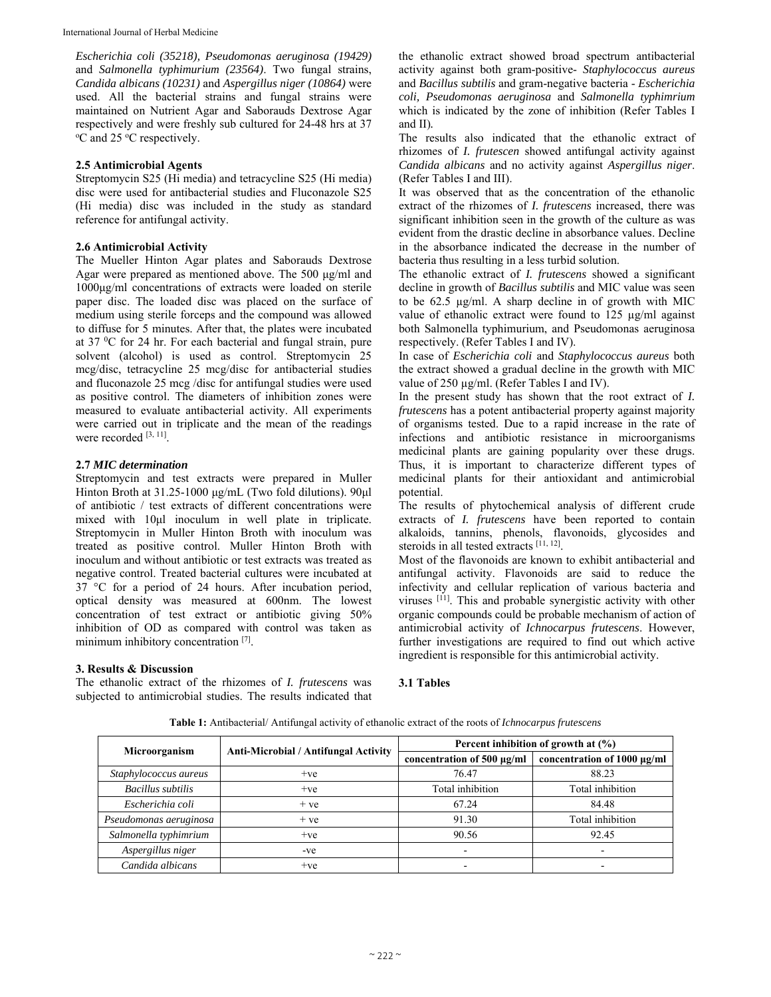*Escherichia coli (35218), Pseudomonas aeruginosa (19429)*  and *Salmonella typhimurium (23564)*. Two fungal strains, *Candida albicans (10231)* and *Aspergillus niger (10864)* were used. All the bacterial strains and fungal strains were maintained on Nutrient Agar and Saborauds Dextrose Agar respectively and were freshly sub cultured for 24-48 hrs at 37 <sup>o</sup>C and 25 <sup>o</sup>C respectively.

#### **2.5 Antimicrobial Agents**

Streptomycin S25 (Hi media) and tetracycline S25 (Hi media) disc were used for antibacterial studies and Fluconazole S25 (Hi media) disc was included in the study as standard reference for antifungal activity.

#### **2.6 Antimicrobial Activity**

The Mueller Hinton Agar plates and Saborauds Dextrose Agar were prepared as mentioned above. The 500 μg/ml and 1000μg/ml concentrations of extracts were loaded on sterile paper disc. The loaded disc was placed on the surface of medium using sterile forceps and the compound was allowed to diffuse for 5 minutes. After that, the plates were incubated at 37 $\mathrm{^0C}$  for 24 hr. For each bacterial and fungal strain, pure solvent (alcohol) is used as control. Streptomycin 25 mcg/disc, tetracycline 25 mcg/disc for antibacterial studies and fluconazole 25 mcg /disc for antifungal studies were used as positive control. The diameters of inhibition zones were measured to evaluate antibacterial activity. All experiments were carried out in triplicate and the mean of the readings were recorded [3, 11].

#### **2.7** *MIC determination*

Streptomycin and test extracts were prepared in Muller Hinton Broth at 31.25-1000 μg/mL (Two fold dilutions). 90μl of antibiotic / test extracts of different concentrations were mixed with 10μl inoculum in well plate in triplicate. Streptomycin in Muller Hinton Broth with inoculum was treated as positive control. Muller Hinton Broth with inoculum and without antibiotic or test extracts was treated as negative control. Treated bacterial cultures were incubated at 37 °C for a period of 24 hours. After incubation period, optical density was measured at 600nm. The lowest concentration of test extract or antibiotic giving 50% inhibition of OD as compared with control was taken as minimum inhibitory concentration [7].

#### **3. Results & Discussion**

The ethanolic extract of the rhizomes of *I. frutescens* was subjected to antimicrobial studies. The results indicated that the ethanolic extract showed broad spectrum antibacterial activity against both gram-positive- *Staphylococcus aureus*  and *Bacillus subtilis* and gram-negative bacteria - *Escherichia coli, Pseudomonas aeruginosa* and *Salmonella typhimrium* which is indicated by the zone of inhibition (Refer Tables I and II)*.*

The results also indicated that the ethanolic extract of rhizomes of *I. frutescen* showed antifungal activity against *Candida albicans* and no activity against *Aspergillus niger*. (Refer Tables I and III).

It was observed that as the concentration of the ethanolic extract of the rhizomes of *I. frutescens* increased, there was significant inhibition seen in the growth of the culture as was evident from the drastic decline in absorbance values. Decline in the absorbance indicated the decrease in the number of bacteria thus resulting in a less turbid solution.

The ethanolic extract of *I. frutescens* showed a significant decline in growth of *Bacillus subtilis* and MIC value was seen to be 62.5 µg/ml. A sharp decline in of growth with MIC value of ethanolic extract were found to 125 µg/ml against both Salmonella typhimurium, and Pseudomonas aeruginosa respectively. (Refer Tables I and IV).

In case of *Escherichia coli* and *Staphylococcus aureus* both the extract showed a gradual decline in the growth with MIC value of 250 µg/ml. (Refer Tables I and IV).

In the present study has shown that the root extract of *I. frutescens* has a potent antibacterial property against majority of organisms tested. Due to a rapid increase in the rate of infections and antibiotic resistance in microorganisms medicinal plants are gaining popularity over these drugs. Thus, it is important to characterize different types of medicinal plants for their antioxidant and antimicrobial potential.

The results of phytochemical analysis of different crude extracts of *I. frutescens* have been reported to contain alkaloids, tannins, phenols, flavonoids, glycosides and steroids in all tested extracts [11, 12].

Most of the flavonoids are known to exhibit antibacterial and antifungal activity. Flavonoids are said to reduce the infectivity and cellular replication of various bacteria and viruses <sup>[11]</sup>. This and probable synergistic activity with other organic compounds could be probable mechanism of action of antimicrobial activity of *Ichnocarpus frutescens*. However, further investigations are required to find out which active ingredient is responsible for this antimicrobial activity.

## **3.1 Tables**

| Microorganism            |                                      | Percent inhibition of growth at $(\% )$ |                             |  |
|--------------------------|--------------------------------------|-----------------------------------------|-----------------------------|--|
|                          | Anti-Microbial / Antifungal Activity | concentration of 500 $\mu$ g/ml         | concentration of 1000 µg/ml |  |
| Staphylococcus aureus    | $+ve$                                | 76.47                                   | 88.23                       |  |
| <b>Bacillus</b> subtilis | $+ve$                                | Total inhibition                        | Total inhibition            |  |
| Escherichia coli         | $+ve$                                | 67.24                                   | 84.48                       |  |
| Pseudomonas aeruginosa   | $+ve$                                | 91.30                                   | Total inhibition            |  |
| Salmonella typhimrium    | $+ve$                                | 90.56                                   | 92.45                       |  |
| Aspergillus niger        | -ve                                  | -                                       |                             |  |
| Candida albicans         | $+ve$                                |                                         |                             |  |

**Table 1:** Antibacterial/ Antifungal activity of ethanolic extract of the roots of *Ichnocarpus frutescens*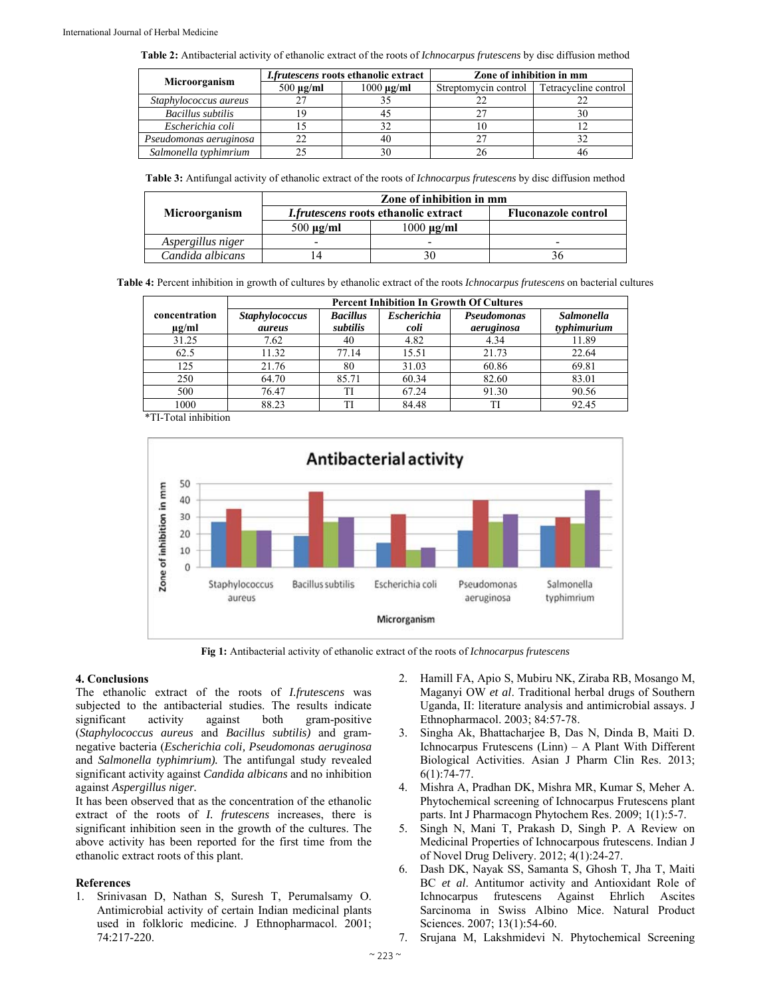**Table 2:** Antibacterial activity of ethanolic extract of the roots of *Ichnocarpus frutescens* by disc diffusion method

| Microorganism          | I.frutescens roots ethanolic extract |                 | Zone of inhibition in mm |                      |  |
|------------------------|--------------------------------------|-----------------|--------------------------|----------------------|--|
|                        | $500 \mu g/ml$                       | $1000 \mu g/ml$ | Streptomycin control     | Tetracycline control |  |
| Staphylococcus aureus  |                                      |                 |                          |                      |  |
| Bacillus subtilis      |                                      |                 |                          |                      |  |
| Escherichia coli       |                                      |                 |                          |                      |  |
| Pseudomonas aeruginosa |                                      |                 |                          |                      |  |
| Salmonella typhimrium  |                                      |                 |                          |                      |  |

**Table 3:** Antifungal activity of ethanolic extract of the roots of *Ichnocarpus frutescens* by disc diffusion method

|                   | Zone of inhibition in mm                    |                            |   |  |
|-------------------|---------------------------------------------|----------------------------|---|--|
| Microorganism     | <i>I.frutescens</i> roots ethanolic extract | <b>Fluconazole control</b> |   |  |
|                   | $500 \mu g/ml$                              | $1000 \text{ µg/ml}$       |   |  |
| Aspergillus niger | $\overline{\phantom{0}}$                    | -                          | - |  |
| Candida albicans  | 14                                          | 30                         |   |  |

**Table 4:** Percent inhibition in growth of cultures by ethanolic extract of the roots *Ichnocarpus frutescens* on bacterial cultures

|                             | <b>Percent Inhibition In Growth Of Cultures</b> |                             |                            |                           |                                  |
|-----------------------------|-------------------------------------------------|-----------------------------|----------------------------|---------------------------|----------------------------------|
| concentration<br>$\mu$ g/ml | <b>Staphylococcus</b><br>aureus                 | <b>Bacillus</b><br>subtilis | <b>Escherichia</b><br>coli | Pseudomonas<br>aeruginosa | <b>Salmonella</b><br>typhimurium |
| 31.25                       | 7.62                                            | 40                          | 4.82                       | 4.34                      | 11.89                            |
| 62.5                        | 11.32                                           | 77.14                       | 15.51                      | 21.73                     | 22.64                            |
| 125                         | 21.76                                           | 80                          | 31.03                      | 60.86                     | 69.81                            |
| 250                         | 64.70                                           | 85.71                       | 60.34                      | 82.60                     | 83.01                            |
| 500                         | 76.47                                           | TI                          | 67.24                      | 91.30                     | 90.56                            |
| 1000                        | 88.23                                           | TI                          | 84.48                      | TI                        | 92.45                            |

\*TI-Total inhibition



**Fig 1:** Antibacterial activity of ethanolic extract of the roots of *Ichnocarpus frutescens* 

#### **4. Conclusions**

The ethanolic extract of the roots of *I.frutescens* was subjected to the antibacterial studies. The results indicate significant activity against both gram-positive (*Staphylococcus aureus* and *Bacillus subtilis)* and gramnegative bacteria (*Escherichia coli, Pseudomonas aeruginosa*  and *Salmonella typhimrium).* The antifungal study revealed significant activity against *Candida albicans* and no inhibition against *Aspergillus niger.* 

It has been observed that as the concentration of the ethanolic extract of the roots of *I. frutescens* increases, there is significant inhibition seen in the growth of the cultures. The above activity has been reported for the first time from the ethanolic extract roots of this plant.

#### **References**

1. Srinivasan D, Nathan S, Suresh T, Perumalsamy O. Antimicrobial activity of certain Indian medicinal plants used in folkloric medicine. J Ethnopharmacol. 2001; 74:217-220.

- 2. Hamill FA, Apio S, Mubiru NK, Ziraba RB, Mosango M, Maganyi OW *et al*. Traditional herbal drugs of Southern Uganda, II: literature analysis and antimicrobial assays. J Ethnopharmacol. 2003; 84:57-78.
- 3. Singha Ak, Bhattacharjee B, Das N, Dinda B, Maiti D. Ichnocarpus Frutescens (Linn) – A Plant With Different Biological Activities. Asian J Pharm Clin Res. 2013; 6(1):74-77.
- 4. Mishra A, Pradhan DK, Mishra MR, Kumar S, Meher A. Phytochemical screening of Ichnocarpus Frutescens plant parts. Int J Pharmacogn Phytochem Res. 2009; 1(1):5-7.
- 5. Singh N, Mani T, Prakash D, Singh P. A Review on Medicinal Properties of Ichnocarpous frutescens. Indian J of Novel Drug Delivery. 2012; 4(1):24-27.
- 6. Dash DK, Nayak SS, Samanta S, Ghosh T, Jha T, Maiti BC *et al*. Antitumor activity and Antioxidant Role of Ichnocarpus frutescens Against Ehrlich Ascites Sarcinoma in Swiss Albino Mice. Natural Product Sciences. 2007; 13(1):54-60.
- 7. Srujana M, Lakshmidevi N. Phytochemical Screening